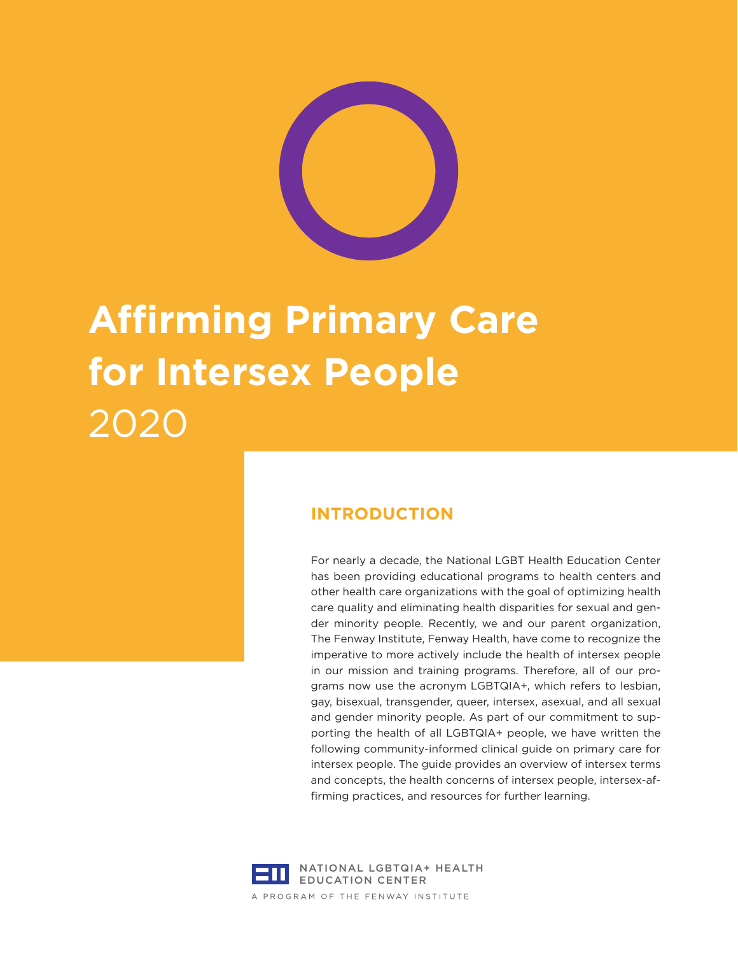

# **Affirming Primary Care for Intersex People** 2020

## **INTRODUCTION**

For nearly a decade, the National LGBT Health Education Center has been providing educational programs to health centers and other health care organizations with the goal of optimizing health care quality and eliminating health disparities for sexual and gender minority people. Recently, we and our parent organization, The Fenway Institute, Fenway Health, have come to recognize the imperative to more actively include the health of intersex people in our mission and training programs. Therefore, all of our programs now use the acronym LGBTQIA+, which refers to lesbian, gay, bisexual, transgender, queer, intersex, asexual, and all sexual and gender minority people. As part of our commitment to supporting the health of all LGBTQIA+ people, we have written the following community-informed clinical guide on primary care for intersex people. The guide provides an overview of intersex terms and concepts, the health concerns of intersex people, intersex-affirming practices, and resources for further learning.

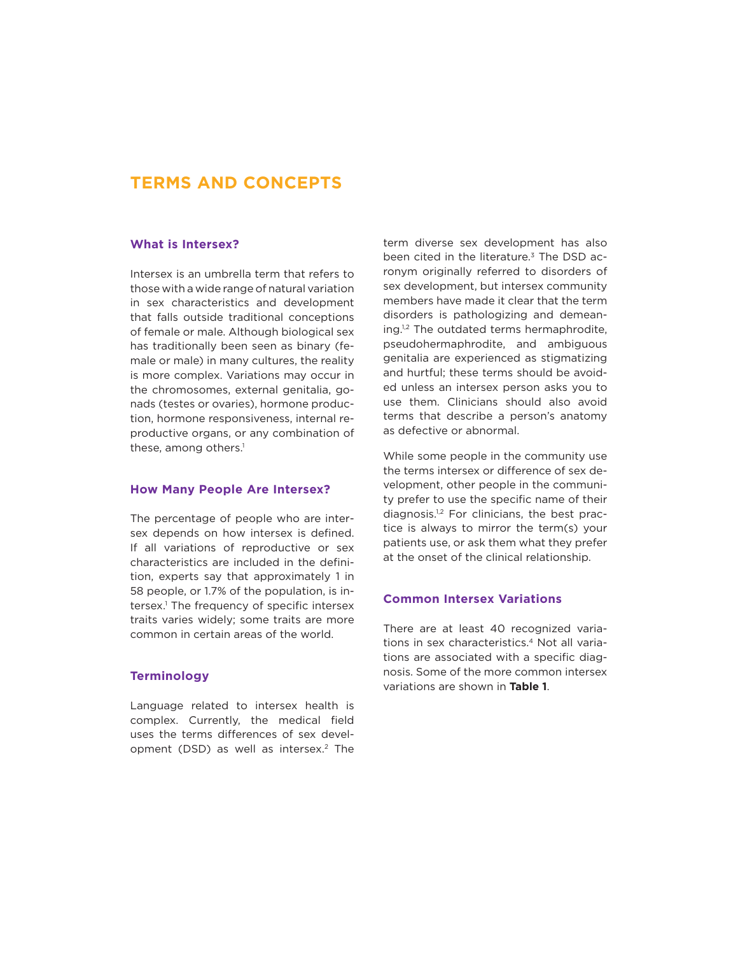## **TERMS AND CONCEPTS**

#### **What is Intersex?**

Intersex is an umbrella term that refers to those with a wide range of natural variation in sex characteristics and development that falls outside traditional conceptions of female or male. Although biological sex has traditionally been seen as binary (female or male) in many cultures, the reality is more complex. Variations may occur in the chromosomes, external genitalia, gonads (testes or ovaries), hormone production, hormone responsiveness, internal reproductive organs, or any combination of these, among others.<sup>1</sup>

#### **How Many People Are Intersex?**

The percentage of people who are intersex depends on how intersex is defined. If all variations of reproductive or sex characteristics are included in the definition, experts say that approximately 1 in 58 people, or 1.7% of the population, is intersex.1 The frequency of specific intersex traits varies widely; some traits are more common in certain areas of the world.

#### **Terminology**

Language related to intersex health is complex. Currently, the medical field uses the terms differences of sex development (DSD) as well as intersex.<sup>2</sup> The term diverse sex development has also been cited in the literature. $3$  The DSD acronym originally referred to disorders of sex development, but intersex community members have made it clear that the term disorders is pathologizing and demeaning.<sup>1,2</sup> The outdated terms hermaphrodite, pseudohermaphrodite, and ambiguous genitalia are experienced as stigmatizing and hurtful; these terms should be avoided unless an intersex person asks you to use them. Clinicians should also avoid terms that describe a person's anatomy as defective or abnormal.

While some people in the community use the terms intersex or difference of sex development, other people in the community prefer to use the specific name of their diagnosis.1,2 For clinicians, the best practice is always to mirror the term(s) your patients use, or ask them what they prefer at the onset of the clinical relationship.

#### **Common Intersex Variations**

There are at least 40 recognized variations in sex characteristics.<sup>4</sup> Not all variations are associated with a specific diagnosis. Some of the more common intersex variations are shown in **Table 1**.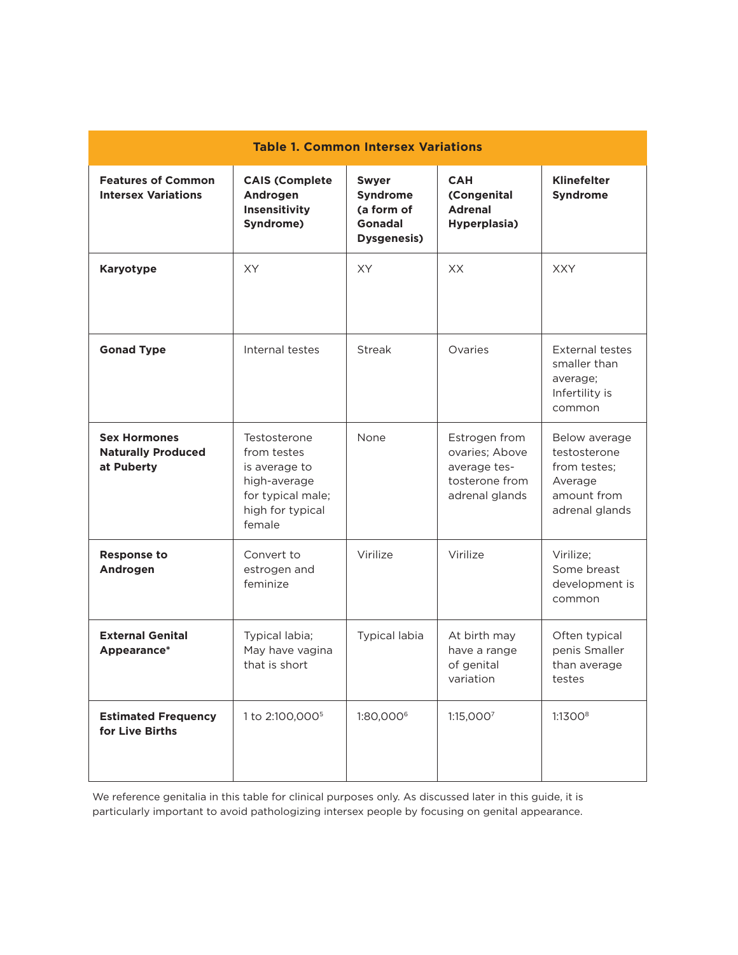| <b>Table 1. Common Intersex Variations</b>                     |                                                                                                                 |                                                                                       |                                                                                     |                                                                                           |
|----------------------------------------------------------------|-----------------------------------------------------------------------------------------------------------------|---------------------------------------------------------------------------------------|-------------------------------------------------------------------------------------|-------------------------------------------------------------------------------------------|
| <b>Features of Common</b><br><b>Intersex Variations</b>        | <b>CAIS (Complete</b><br>Androgen<br>Insensitivity<br>Syndrome)                                                 | <b>Swyer</b><br><b>Syndrome</b><br>(a form of<br><b>Gonadal</b><br><b>Dysgenesis)</b> | <b>CAH</b><br>(Congenital<br><b>Adrenal</b><br>Hyperplasia)                         | <b>Klinefelter</b><br><b>Syndrome</b>                                                     |
| <b>Karyotype</b>                                               | <b>XY</b>                                                                                                       | <b>XY</b>                                                                             | XX                                                                                  | <b>XXY</b>                                                                                |
| <b>Gonad Type</b>                                              | Internal testes                                                                                                 | <b>Streak</b>                                                                         | Ovaries                                                                             | <b>External testes</b><br>smaller than<br>average;<br>Infertility is<br>common            |
| <b>Sex Hormones</b><br><b>Naturally Produced</b><br>at Puberty | Testosterone<br>from testes<br>is average to<br>high-average<br>for typical male;<br>high for typical<br>female | <b>None</b>                                                                           | Estrogen from<br>ovaries; Above<br>average tes-<br>tosterone from<br>adrenal glands | Below average<br>testosterone<br>from testes;<br>Average<br>amount from<br>adrenal glands |
| <b>Response to</b><br>Androgen                                 | Convert to<br>estrogen and<br>feminize                                                                          | Virilize                                                                              | Virilize                                                                            | Virilize:<br>Some breast<br>development is<br>common                                      |
| <b>External Genital</b><br>Appearance*                         | Typical labia;<br>May have vagina<br>that is short                                                              | Typical labia                                                                         | At birth may<br>have a range<br>of genital<br>variation                             | Often typical<br>penis Smaller<br>than average<br>testes                                  |
| <b>Estimated Frequency</b><br>for Live Births                  | 1 to 2:100,000 <sup>5</sup>                                                                                     | 1:80,0006                                                                             | 1:15,0007                                                                           | 1:1300 <sup>8</sup>                                                                       |

We reference genitalia in this table for clinical purposes only. As discussed later in this guide, it is particularly important to avoid pathologizing intersex people by focusing on genital appearance.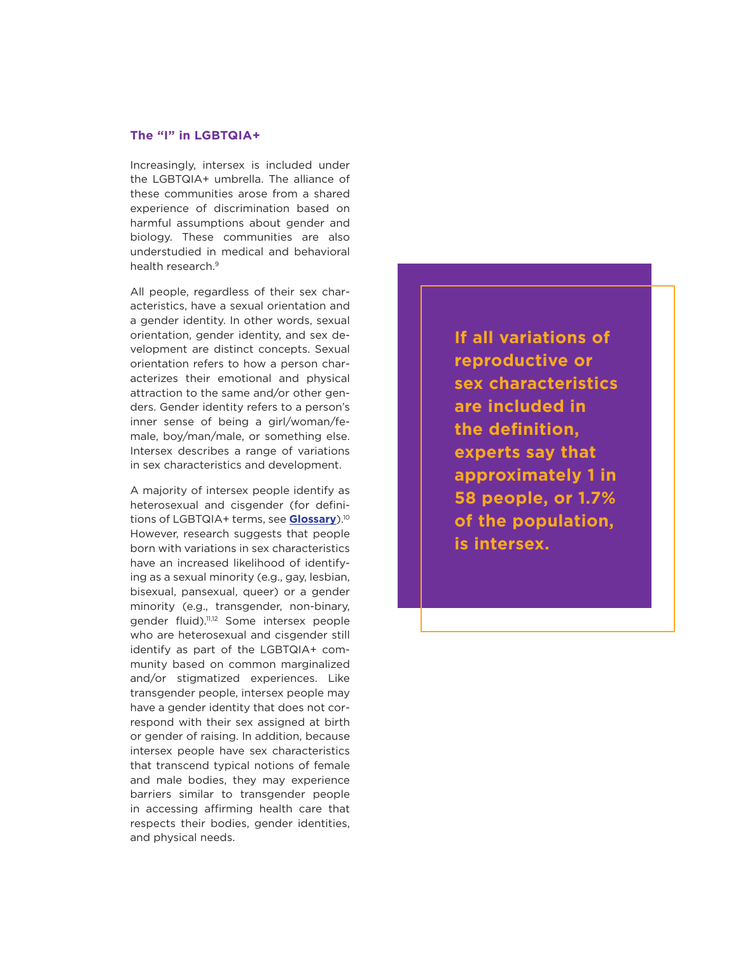#### **The "I" in LGBTQIA+**

Increasingly, intersex is included under the LGBTQIA+ umbrella. The alliance of these communities arose from a shared experience of discrimination based on harmful assumptions about gender and biology. These communities are also understudied in medical and behavioral health research.<sup>9</sup>

All people, regardless of their sex characteristics, have a sexual orientation and a gender identity. In other words, sexual orientation, gender identity, and sex development are distinct concepts. Sexual orientation refers to how a person characterizes their emotional and physical attraction to the same and/or other genders. Gender identity refers to a person's inner sense of being a girl/woman/female, boy/man/male, or something else. Intersex describes a range of variations in sex characteristics and development.

A majority of intersex people identify as heterosexual and cisgender (for definitions of LGBTQIA+ terms, see **[Glossary](https://www.lgbthealtheducation.org/publication/lgbtqia-glossary-of-terms-for-health-care-teams/)**).10 However, research suggests that people born with variations in sex characteristics have an increased likelihood of identifying as a sexual minority (e.g., gay, lesbian, bisexual, pansexual, queer) or a gender minority (e.g., transgender, non-binary, gender fluid).11,12 Some intersex people who are heterosexual and cisgender still identify as part of the LGBTQIA+ community based on common marginalized and/or stigmatized experiences. Like transgender people, intersex people may have a gender identity that does not correspond with their sex assigned at birth or gender of raising. In addition, because intersex people have sex characteristics that transcend typical notions of female and male bodies, they may experience barriers similar to transgender people in accessing affirming health care that respects their bodies, gender identities, and physical needs.

**If all variations of reproductive or sex characteristics are included in the definition, experts say that approximately 1 in 58 people, or 1.7% of the population, is intersex.**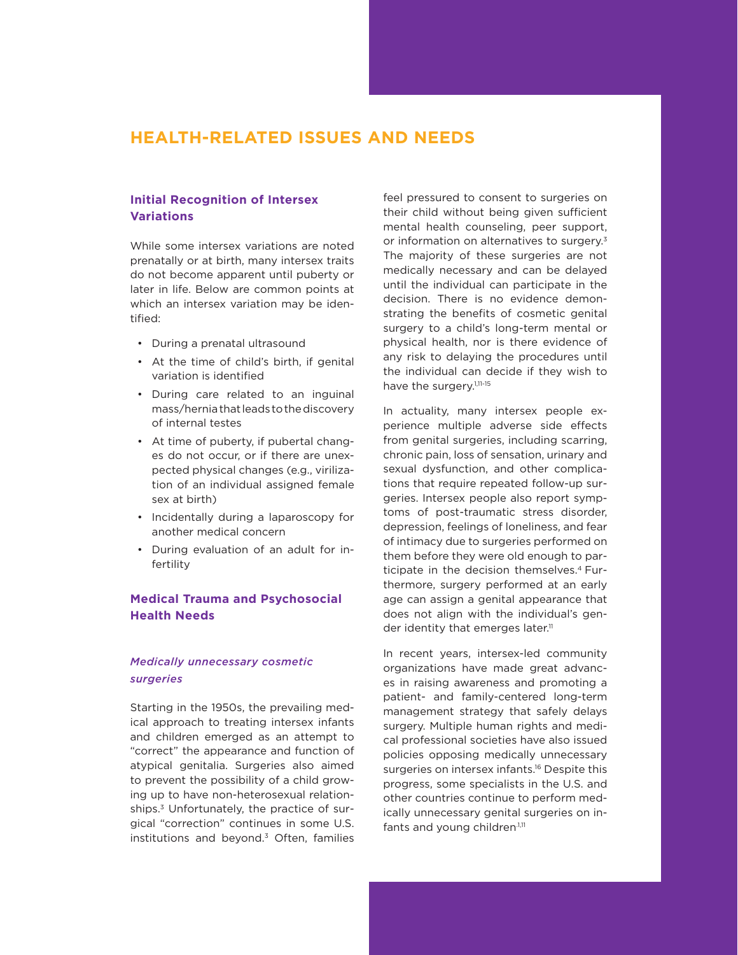## **HEALTH-RELATED ISSUES AND NEEDS**

#### **Initial Recognition of Intersex Variations**

While some intersex variations are noted prenatally or at birth, many intersex traits do not become apparent until puberty or later in life. Below are common points at which an intersex variation may be identified:

- During a prenatal ultrasound
- At the time of child's birth, if genital variation is identified
- During care related to an inguinal mass/hernia that leads to the discovery of internal testes
- At time of puberty, if pubertal changes do not occur, or if there are unexpected physical changes (e.g., virilization of an individual assigned female sex at birth)
- Incidentally during a laparoscopy for another medical concern
- During evaluation of an adult for infertility

### **Medical Trauma and Psychosocial Health Needs**

#### *Medically unnecessary cosmetic surgeries*

Starting in the 1950s, the prevailing medical approach to treating intersex infants and children emerged as an attempt to "correct" the appearance and function of atypical genitalia. Surgeries also aimed to prevent the possibility of a child growing up to have non-heterosexual relationships.3 Unfortunately, the practice of surgical "correction" continues in some U.S. institutions and beyond. $3$  Often, families

feel pressured to consent to surgeries on their child without being given sufficient mental health counseling, peer support, or information on alternatives to surgery.<sup>3</sup> The majority of these surgeries are not medically necessary and can be delayed until the individual can participate in the decision. There is no evidence demonstrating the benefits of cosmetic genital surgery to a child's long-term mental or physical health, nor is there evidence of any risk to delaying the procedures until the individual can decide if they wish to have the surgery.<sup>1,11-15</sup>

In actuality, many intersex people experience multiple adverse side effects from genital surgeries, including scarring, chronic pain, loss of sensation, urinary and sexual dysfunction, and other complications that require repeated follow-up surgeries. Intersex people also report symptoms of post-traumatic stress disorder, depression, feelings of loneliness, and fear of intimacy due to surgeries performed on them before they were old enough to participate in the decision themselves.<sup>4</sup> Furthermore, surgery performed at an early age can assign a genital appearance that does not align with the individual's gender identity that emerges later.<sup>11</sup>

In recent years, intersex-led community organizations have made great advances in raising awareness and promoting a patient- and family-centered long-term management strategy that safely delays surgery. Multiple human rights and medical professional societies have also issued policies opposing medically unnecessary surgeries on intersex infants.<sup>16</sup> Despite this progress, some specialists in the U.S. and other countries continue to perform medically unnecessary genital surgeries on infants and young children.1,11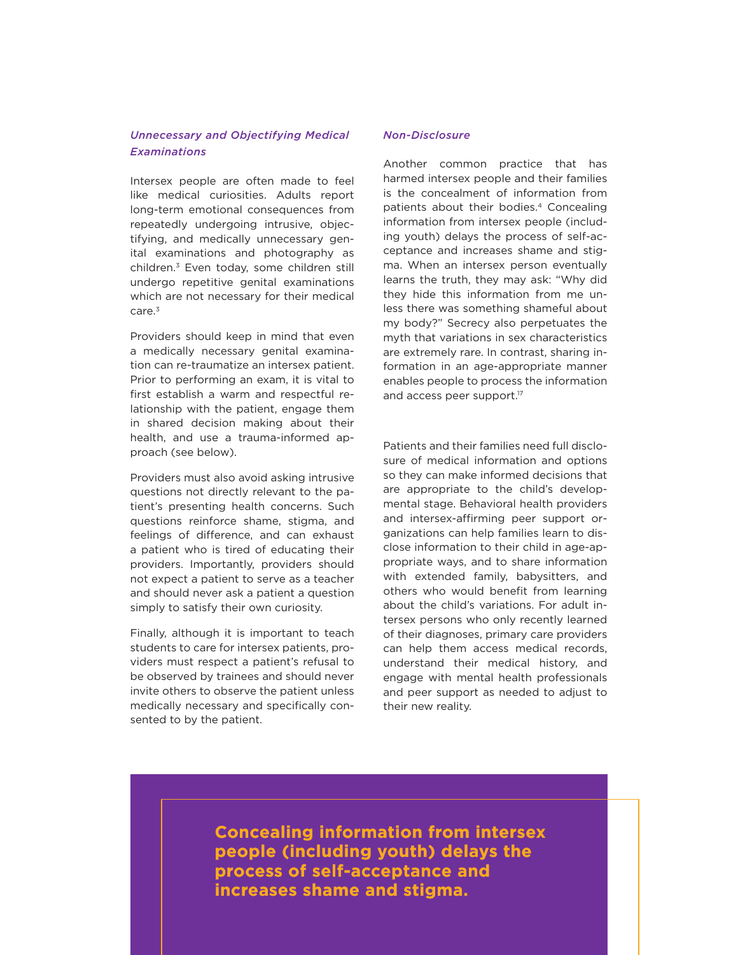#### *Unnecessary and Objectifying Medical Examinations*

Intersex people are often made to feel like medical curiosities. Adults report long-term emotional consequences from repeatedly undergoing intrusive, objectifying, and medically unnecessary genital examinations and photography as children.3 Even today, some children still undergo repetitive genital examinations which are not necessary for their medical care.<sup>3</sup>

Providers should keep in mind that even a medically necessary genital examination can re-traumatize an intersex patient. Prior to performing an exam, it is vital to first establish a warm and respectful relationship with the patient, engage them in shared decision making about their health, and use a trauma-informed approach (see below).

Providers must also avoid asking intrusive questions not directly relevant to the patient's presenting health concerns. Such questions reinforce shame, stigma, and feelings of difference, and can exhaust a patient who is tired of educating their providers. Importantly, providers should not expect a patient to serve as a teacher and should never ask a patient a question simply to satisfy their own curiosity.

Finally, although it is important to teach students to care for intersex patients, providers must respect a patient's refusal to be observed by trainees and should never invite others to observe the patient unless medically necessary and specifically consented to by the patient.

#### *Non-Disclosure*

Another common practice that has harmed intersex people and their families is the concealment of information from patients about their bodies.<sup>4</sup> Concealing information from intersex people (including youth) delays the process of self-acceptance and increases shame and stigma. When an intersex person eventually learns the truth, they may ask: "Why did they hide this information from me unless there was something shameful about my body?" Secrecy also perpetuates the myth that variations in sex characteristics are extremely rare. In contrast, sharing information in an age-appropriate manner enables people to process the information and access peer support.<sup>17</sup>

Patients and their families need full disclosure of medical information and options so they can make informed decisions that are appropriate to the child's developmental stage. Behavioral health providers and intersex-affirming peer support organizations can help families learn to disclose information to their child in age-appropriate ways, and to share information with extended family, babysitters, and others who would benefit from learning about the child's variations. For adult intersex persons who only recently learned of their diagnoses, primary care providers can help them access medical records, understand their medical history, and engage with mental health professionals and peer support as needed to adjust to their new reality.

**Concealing information from intersex people (including youth) delays the process of self-acceptance and increases shame and stigma.**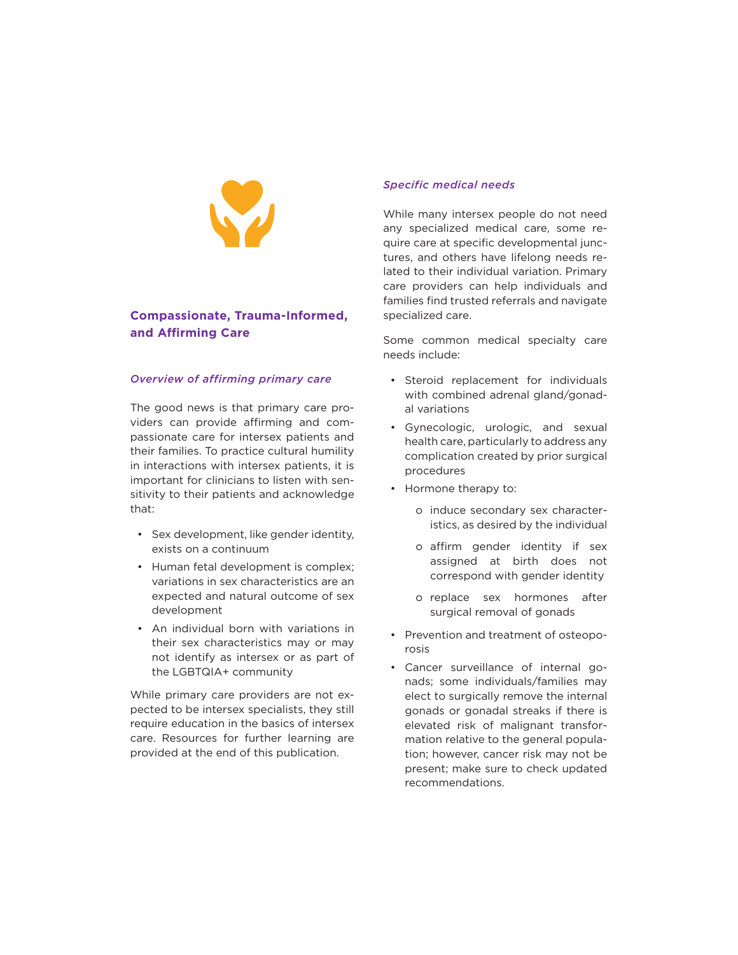

### **Compassionate, Trauma-Informed, and Affirming Care**

#### *Overview of affirming primary care*

The good news is that primary care providers can provide affirming and compassionate care for intersex patients and their families. To practice cultural humility in interactions with intersex patients, it is important for clinicians to listen with sensitivity to their patients and acknowledge that:

- Sex development, like gender identity, exists on a continuum
- Human fetal development is complex; variations in sex characteristics are an expected and natural outcome of sex development
- An individual born with variations in their sex characteristics may or may not identify as intersex or as part of the LGBTQIA+ community

While primary care providers are not expected to be intersex specialists, they still require education in the basics of intersex care. Resources for further learning are provided at the end of this publication.

#### *Specific medical needs*

While many intersex people do not need any specialized medical care, some require care at specific developmental junctures, and others have lifelong needs related to their individual variation. Primary care providers can help individuals and families find trusted referrals and navigate specialized care.

Some common medical specialty care needs include:

- Steroid replacement for individuals with combined adrenal gland/gonadal variations
- Gynecologic, urologic, and sexual health care, particularly to address any complication created by prior surgical procedures
- Hormone therapy to:
	- o induce secondary sex characteristics, as desired by the individual
	- o affirm gender identity if sex assigned at birth does not correspond with gender identity
	- o replace sex hormones after surgical removal of gonads
- Prevention and treatment of osteoporosis
- Cancer surveillance of internal gonads; some individuals/families may elect to surgically remove the internal gonads or gonadal streaks if there is elevated risk of malignant transformation relative to the general population; however, cancer risk may not be present; make sure to check updated recommendations.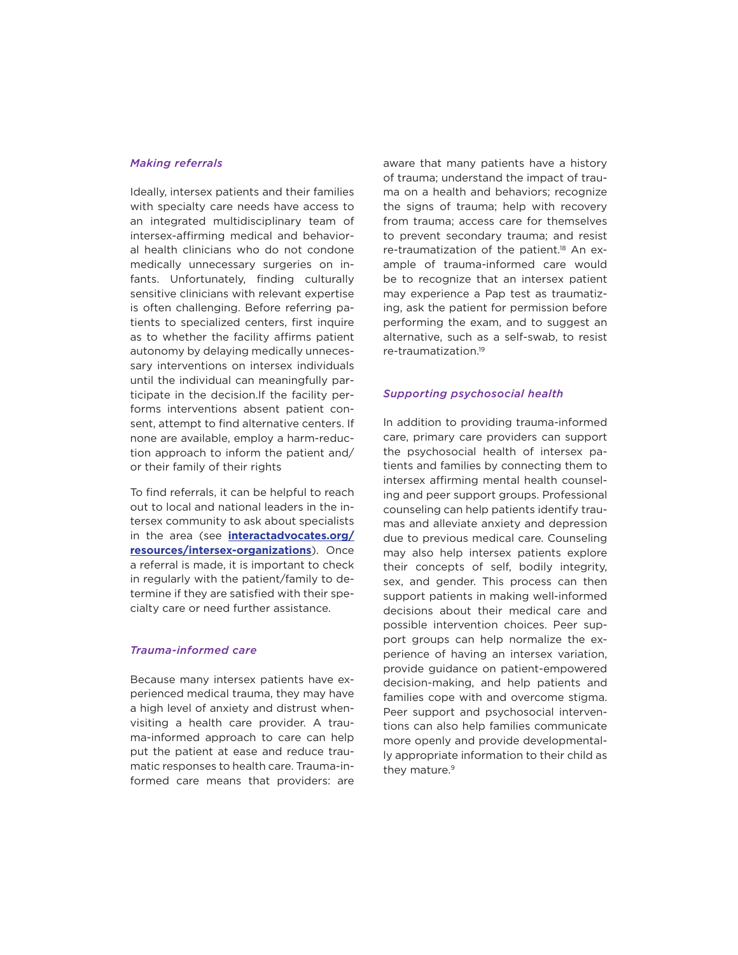#### *Making referrals*

Ideally, intersex patients and their families with specialty care needs have access to an integrated multidisciplinary team of intersex-affirming medical and behavioral health clinicians who do not condone medically unnecessary surgeries on infants. Unfortunately, finding culturally sensitive clinicians with relevant expertise is often challenging. Before referring patients to specialized centers, first inquire as to whether the facility affirms patient autonomy by delaying medically unnecessary interventions on intersex individuals until the individual can meaningfully participate in the decision.If the facility performs interventions absent patient consent, attempt to find alternative centers. If none are available, employ a harm-reduction approach to inform the patient and/ or their family of their rights

To find referrals, it can be helpful to reach out to local and national leaders in the intersex community to ask about specialists in the area (see **[interactadvocates.org/](https://interactadvocates.org/resources/intersex-organizations/) [resources/intersex-organizations](https://interactadvocates.org/resources/intersex-organizations/)**). Once a referral is made, it is important to check in regularly with the patient/family to determine if they are satisfied with their specialty care or need further assistance.

#### *Trauma-informed care*

Because many intersex patients have experienced medical trauma, they may have a high level of anxiety and distrust whenvisiting a health care provider. A trauma-informed approach to care can help put the patient at ease and reduce traumatic responses to health care. Trauma-informed care means that providers: are

aware that many patients have a history of trauma; understand the impact of trauma on a health and behaviors; recognize the signs of trauma; help with recovery from trauma; access care for themselves to prevent secondary trauma; and resist re-traumatization of the patient.<sup>18</sup> An example of trauma-informed care would be to recognize that an intersex patient may experience a Pap test as traumatizing, ask the patient for permission before performing the exam, and to suggest an alternative, such as a self-swab, to resist re-traumatization.19

#### *Supporting psychosocial health*

In addition to providing trauma-informed care, primary care providers can support the psychosocial health of intersex patients and families by connecting them to intersex affirming mental health counseling and peer support groups. Professional counseling can help patients identify traumas and alleviate anxiety and depression due to previous medical care. Counseling may also help intersex patients explore their concepts of self, bodily integrity, sex, and gender. This process can then support patients in making well-informed decisions about their medical care and possible intervention choices. Peer support groups can help normalize the experience of having an intersex variation, provide guidance on patient-empowered decision-making, and help patients and families cope with and overcome stigma. Peer support and psychosocial interventions can also help families communicate more openly and provide developmentally appropriate information to their child as they mature.<sup>9</sup>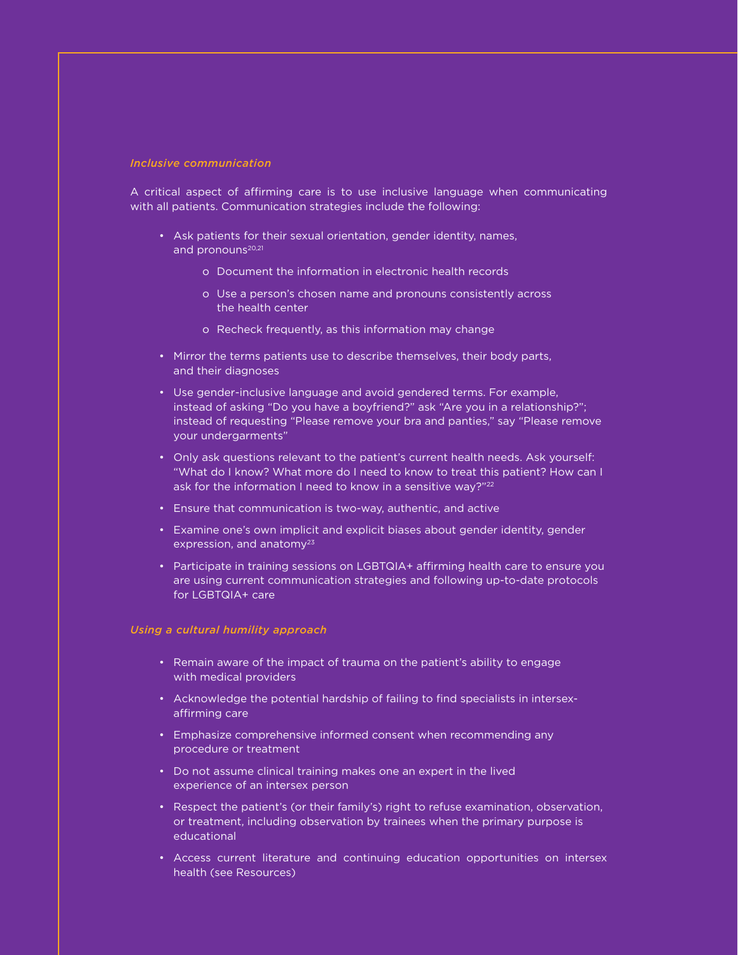#### *Inclusive communication*

A critical aspect of affirming care is to use inclusive language when communicating with all patients. Communication strategies include the following:

- Ask patients for their sexual orientation, gender identity, names, and pronouns<sup>20,21</sup>
	- o Document the information in electronic health records
	- o Use a person's chosen name and pronouns consistently across the health center
	- o Recheck frequently, as this information may change
- Mirror the terms patients use to describe themselves, their body parts, and their diagnoses
- Use gender-inclusive language and avoid gendered terms. For example, instead of asking "Do you have a boyfriend?" ask "Are you in a relationship?"; instead of requesting "Please remove your bra and panties," say "Please remove your undergarments"
- Only ask questions relevant to the patient's current health needs. Ask yourself: "What do I know? What more do I need to know to treat this patient? How can I ask for the information I need to know in a sensitive way?"<sup>22</sup>
- Ensure that communication is two-way, authentic, and active
- Examine one's own implicit and explicit biases about gender identity, gender expression, and anatomy $23$
- Participate in training sessions on LGBTQIA+ affirming health care to ensure you are using current communication strategies and following up-to-date protocols for LGBTQIA+ care

#### *Using a cultural humility approach*

- Remain aware of the impact of trauma on the patient's ability to engage with medical providers
- Acknowledge the potential hardship of failing to find specialists in intersexaffirming care
- Emphasize comprehensive informed consent when recommending any procedure or treatment
- Do not assume clinical training makes one an expert in the lived experience of an intersex person
- Respect the patient's (or their family's) right to refuse examination, observation, or treatment, including observation by trainees when the primary purpose is educational
- Access current literature and continuing education opportunities on intersex health (see Resources)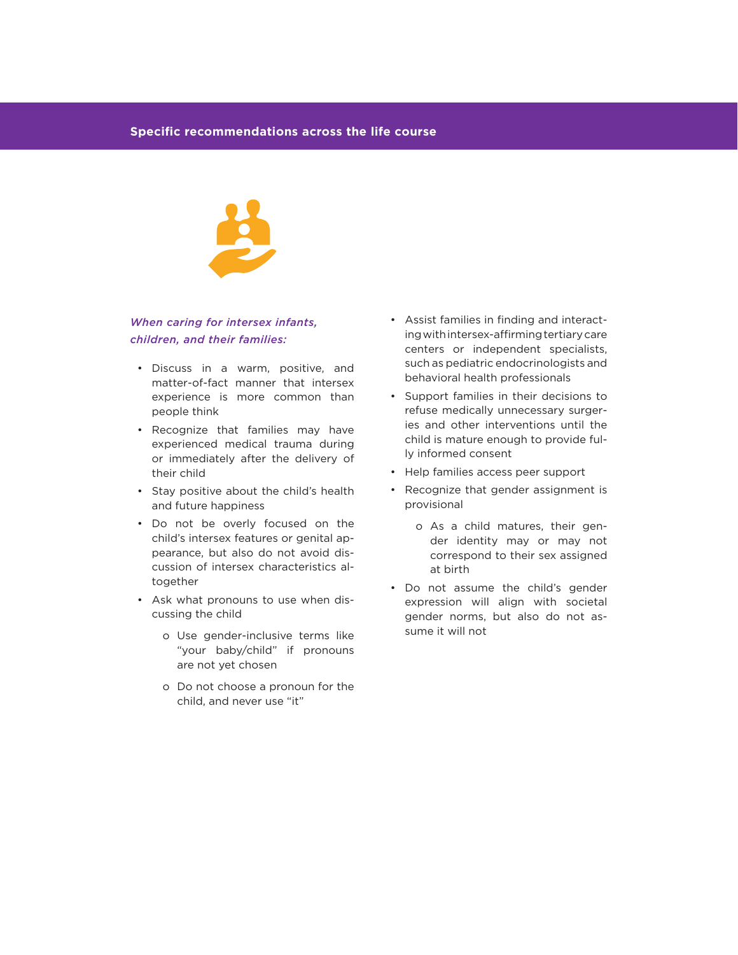

#### *When caring for intersex infants, children, and their families:*

- Discuss in a warm, positive, and matter-of-fact manner that intersex experience is more common than people think
- Recognize that families may have experienced medical trauma during or immediately after the delivery of their child
- Stay positive about the child's health and future happiness
- Do not be overly focused on the child's intersex features or genital appearance, but also do not avoid discussion of intersex characteristics altogether
- Ask what pronouns to use when discussing the child
	- o Use gender-inclusive terms like "your baby/child" if pronouns are not yet chosen
	- o Do not choose a pronoun for the child, and never use "it"
- Assist families in finding and interacting with intersex-affirming tertiary care centers or independent specialists, such as pediatric endocrinologists and behavioral health professionals
- Support families in their decisions to refuse medically unnecessary surgeries and other interventions until the child is mature enough to provide fully informed consent
- Help families access peer support
- Recognize that gender assignment is provisional
	- o As a child matures, their gender identity may or may not correspond to their sex assigned at birth
- Do not assume the child's gender expression will align with societal gender norms, but also do not assume it will not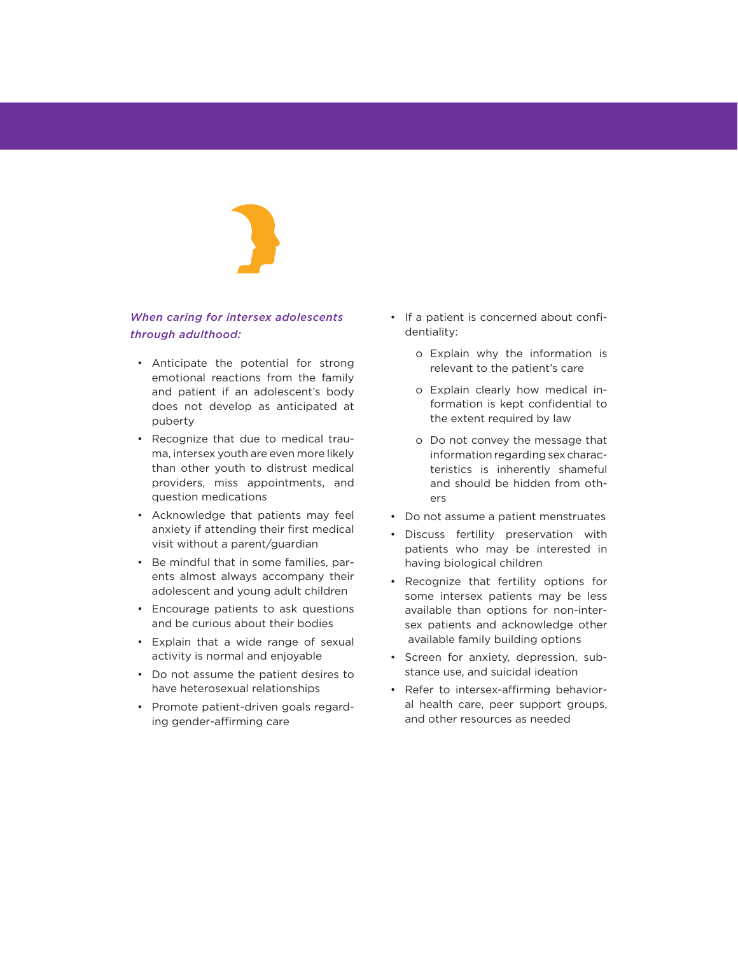#### *When caring for intersex adolescents through adulthood:*

- Anticipate the potential for strong emotional reactions from the family and patient if an adolescent's body does not develop as anticipated at puberty
- Recognize that due to medical trauma, intersex youth are even more likely than other youth to distrust medical providers, miss appointments, and question medications
- Acknowledge that patients may feel anxiety if attending their first medical visit without a parent/guardian
- Be mindful that in some families, parents almost always accompany their adolescent and young adult children
- Encourage patients to ask questions and be curious about their bodies
- Explain that a wide range of sexual activity is normal and enjoyable
- Do not assume the patient desires to have heterosexual relationships
- Promote patient-driven goals regarding gender-affirming care
- If a patient is concerned about confidentiality:
	- o Explain why the information is relevant to the patient's care
	- o Explain clearly how medical information is kept confidential to the extent required by law
	- o Do not convey the message that information regarding sex characteristics is inherently shameful and should be hidden from others
- Do not assume a patient menstruates
- Discuss fertility preservation with patients who may be interested in having biological children
- Recognize that fertility options for some intersex patients may be less available than options for non-intersex patients and acknowledge other available family building options
- Screen for anxiety, depression, substance use, and suicidal ideation
- Refer to intersex-affirming behavioral health care, peer support groups, and other resources as needed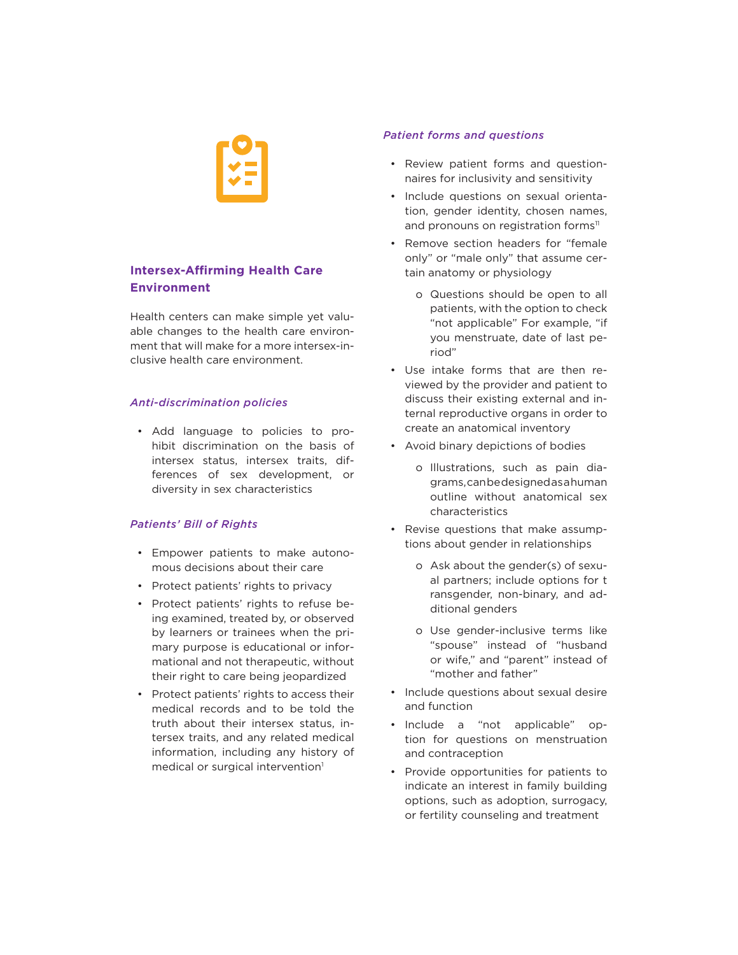

## **Intersex-Affirming Health Care Environment**

Health centers can make simple yet valuable changes to the health care environment that will make for a more intersex-inclusive health care environment.

#### *Anti-discrimination policies*

• Add language to policies to prohibit discrimination on the basis of intersex status, intersex traits, differences of sex development, or diversity in sex characteristics

#### *Patients' Bill of Rights*

- Empower patients to make autonomous decisions about their care
- Protect patients' rights to privacy
- Protect patients' rights to refuse being examined, treated by, or observed by learners or trainees when the primary purpose is educational or informational and not therapeutic, without their right to care being jeopardized
- Protect patients' rights to access their medical records and to be told the truth about their intersex status, intersex traits, and any related medical information, including any history of medical or surgical intervention<sup>1</sup>

#### *Patient forms and questions*

- Review patient forms and questionnaires for inclusivity and sensitivity
- Include questions on sexual orientation, gender identity, chosen names, and pronouns on registration forms<sup>11</sup>
- Remove section headers for "female only" or "male only" that assume certain anatomy or physiology
	- o Questions should be open to all patients, with the option to check "not applicable" For example, "if you menstruate, date of last period"
- Use intake forms that are then reviewed by the provider and patient to discuss their existing external and internal reproductive organs in order to create an anatomical inventory
- Avoid binary depictions of bodies
	- o Illustrations, such as pain diagrams, can be designed as a human outline without anatomical sex characteristics
- Revise questions that make assumptions about gender in relationships
	- o Ask about the gender(s) of sexual partners; include options for t ransgender, non-binary, and additional genders
	- o Use gender-inclusive terms like "spouse" instead of "husband or wife," and "parent" instead of "mother and father"
- Include questions about sexual desire and function
- Include a "not applicable" option for questions on menstruation and contraception
- Provide opportunities for patients to indicate an interest in family building options, such as adoption, surrogacy, or fertility counseling and treatment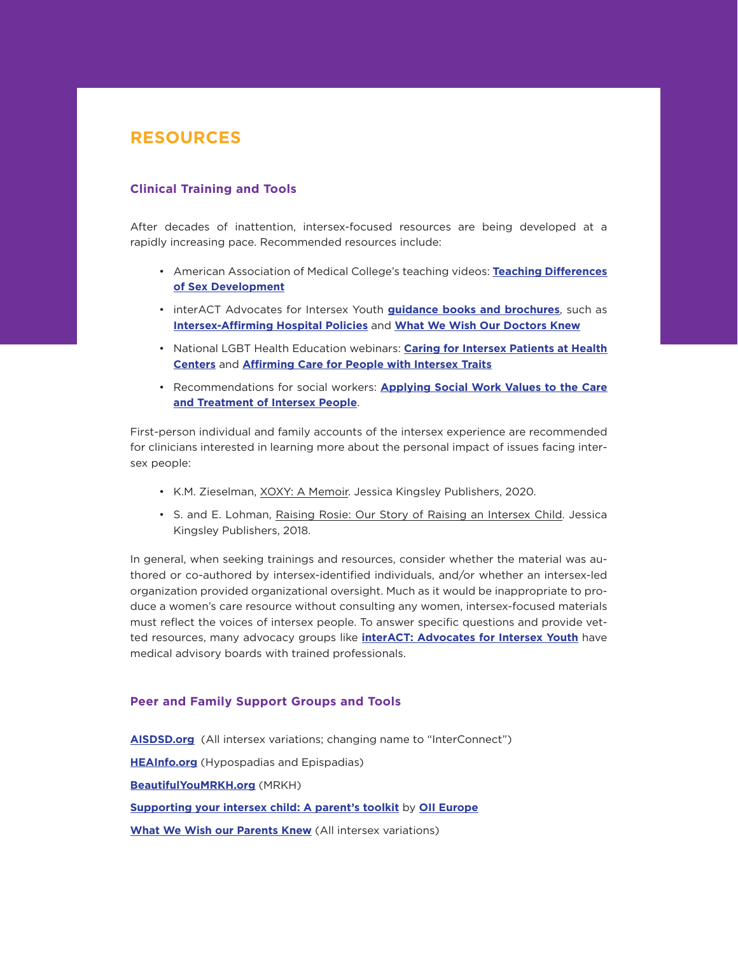## **RESOURCES**

#### **Clinical Training and Tools**

After decades of inattention, intersex-focused resources are being developed at a rapidly increasing pace. Recommended resources include:

- American Association of Medical College's teaching videos: **[Teaching Differences](https://www.aamc.org/what-we-do/mission-areas/diversity-inclusion/lgbt-health-resources/videos/teaching-differences-sex-development-pt1)  [of Sex Development](https://www.aamc.org/what-we-do/mission-areas/diversity-inclusion/lgbt-health-resources/videos/teaching-differences-sex-development-pt1)**
- interACT Advocates for Intersex Youth **[guidance books and brochures](https://interactadvocates.org/resources/intersex-brochures/)**, such as **[Intersex-Affirming Hospital Policies](https://live-interact-advocates.pantheonsite.io/wp-content/uploads/2018/09/interACT-Lambda-Legal-intersex-hospital-policies.pdf)** and **[What We Wish Our Doctors Knew](https://interactadvocates.org/wp-content/uploads/2015/12/BROCHURE-interACT-Doctors-final-web.pdf)**
- National LGBT Health Education webinars: **[Caring for Intersex Patients at Health](https://www.lgbthealtheducation.org/courses/caring-for-intersex-patients-at-health-centers/:%20www.lgbthealtheducation.org)  [Centers](https://www.lgbthealtheducation.org/courses/caring-for-intersex-patients-at-health-centers/:%20www.lgbthealtheducation.org)** and **[Affirming Care for People with Intersex Traits](https://www.lgbthealtheducation.org/courses/affirming-care-for-people-with-intersex-traits-2020/)**
- Recommendations for social workers: **[Applying Social Work Values to the Care](https://sbs.mnsu.edu/globalassets/college-of-social-and-behavioral-sciences/social-work/pdfs/intersex_policy_brief_07082018.pdf)  [and Treatment of Intersex People](https://sbs.mnsu.edu/globalassets/college-of-social-and-behavioral-sciences/social-work/pdfs/intersex_policy_brief_07082018.pdf)**.

First-person individual and family accounts of the intersex experience are recommended for clinicians interested in learning more about the personal impact of issues facing intersex people:

- K.M. Zieselman, XOXY: A Memoir. Jessica Kingsley Publishers, 2020.
- S. and E. Lohman, Raising Rosie: Our Story of Raising an Intersex Child. Jessica Kingsley Publishers, 2018.

In general, when seeking trainings and resources, consider whether the material was authored or co-authored by intersex-identified individuals, and/or whether an intersex-led organization provided organizational oversight. Much as it would be inappropriate to produce a women's care resource without consulting any women, intersex-focused materials must reflect the voices of intersex people. To answer specific questions and provide vetted resources, many advocacy groups like **[interACT: Advocates for Intersex Youth](http://www.interactadvocates.org/)** have medical advisory boards with trained professionals.

#### **Peer and Family Support Groups and Tools**

**[AISDSD.org](http://www.aisdsd.org/)** (All intersex variations; changing name to "InterConnect") **[HEAInfo.org](http://www.heainfo.org/)** (Hypospadias and Epispadias) **[BeautifulYouMRKH.org](http://www.beautifulyoumrkh.org/)** (MRKH) **[Supporting your intersex child: A parent's toolkit](https://oiieurope.org/supporting-your-intersex-child-a-parents-toolkit/)** by **[OII Europe](https://oiieurope.org/) [What We Wish our Parents Knew](https://live-interact-advocates.pantheonsite.io/wp-content/uploads/2015/12/BROCHURE-interACT-Parents-final-web.pdf)** (All intersex variations)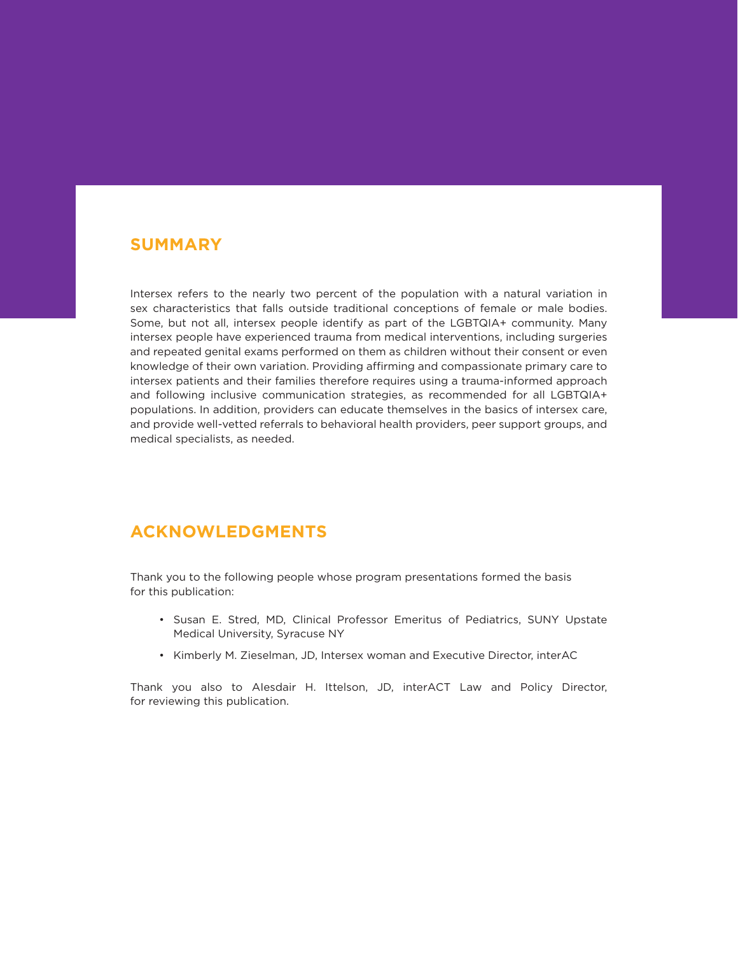## **SUMMARY**

Intersex refers to the nearly two percent of the population with a natural variation in sex characteristics that falls outside traditional conceptions of female or male bodies. Some, but not all, intersex people identify as part of the LGBTQIA+ community. Many intersex people have experienced trauma from medical interventions, including surgeries and repeated genital exams performed on them as children without their consent or even knowledge of their own variation. Providing affirming and compassionate primary care to intersex patients and their families therefore requires using a trauma-informed approach and following inclusive communication strategies, as recommended for all LGBTQIA+ populations. In addition, providers can educate themselves in the basics of intersex care, and provide well-vetted referrals to behavioral health providers, peer support groups, and medical specialists, as needed.

## **ACKNOWLEDGMENTS**

Thank you to the following people whose program presentations formed the basis for this publication:

- Susan E. Stred, MD, Clinical Professor Emeritus of Pediatrics, SUNY Upstate Medical University, Syracuse NY
- Kimberly M. Zieselman, JD, Intersex woman and Executive Director, interAC

Thank you also to AIesdair H. Ittelson, JD, interACT Law and Policy Director, for reviewing this publication.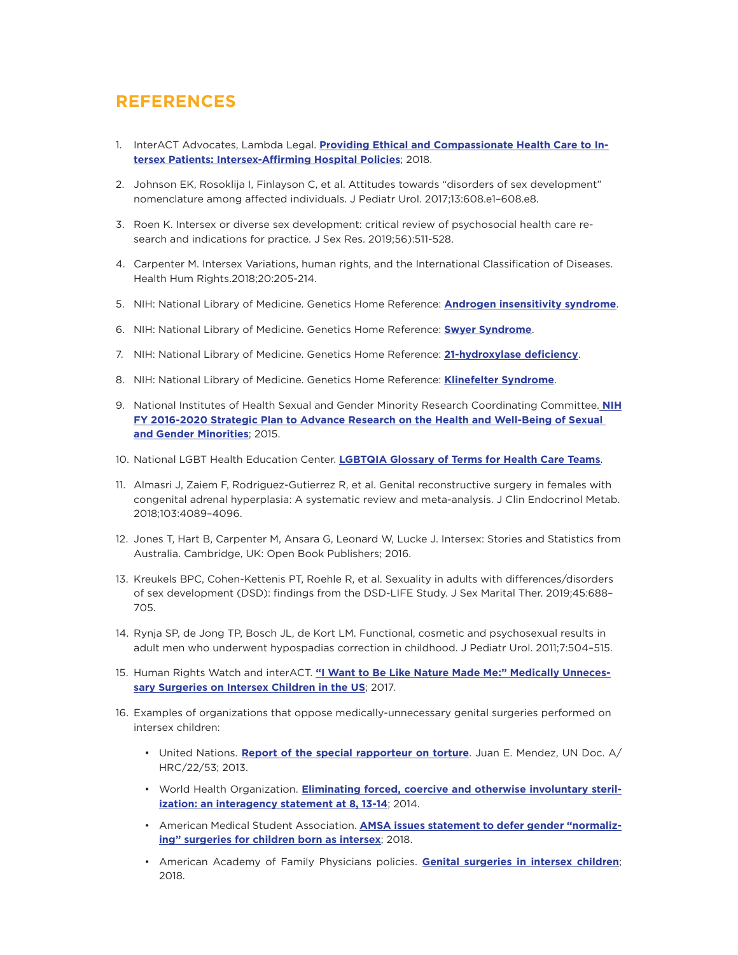## **REFERENCES**

- 1. InterACT Advocates, Lambda Legal. **[Providing Ethical and Compassionate Health Care to In](https://www.lambdalegal.org/sites/default/files/publications/downloads/resource_20180731_hospital-policies-intersex.pdf.)[tersex Patients: Intersex-Affirming Hospital Policies](https://www.lambdalegal.org/sites/default/files/publications/downloads/resource_20180731_hospital-policies-intersex.pdf.)**; 2018.
- 2. Johnson EK, Rosoklija I, Finlayson C, et al. Attitudes towards "disorders of sex development" nomenclature among affected individuals. J Pediatr Urol. 2017;13:608.e1–608.e8.
- 3. Roen K. Intersex or diverse sex development: critical review of psychosocial health care research and indications for practice. J Sex Res. 2019;56):511-528.
- 4. Carpenter M. Intersex Variations, human rights, and the International Classification of Diseases. Health Hum Rights.2018;20:205-214.
- 5. NIH: National Library of Medicine. Genetics Home Reference: **[Androgen insensitivity syndrome](https://ghr.nlm.nih.gov/condition/androgen-insensitivity-syndrome#statistics)**.
- 6. NIH: National Library of Medicine. Genetics Home Reference: **[Swyer Syndrome](https://ghr.nlm.nih.gov/condition/swyer-syndrome)**.
- 7. NIH: National Library of Medicine. Genetics Home Reference: **[21-hydroxylase deficiency](https://ghr.nlm.nih.gov/condition/21-hydroxylase-deficiency#statistics)**.
- 8. NIH: National Library of Medicine. Genetics Home Reference: **[Klinefelter Syndrome](https://ghr.nlm.nih.gov/condition/klinefelter-syndrome#statistics)**.
- 9. National Institutes of Health Sexual and Gender Minority Research Coordinating Committee. **[NIH](https://dpcpsi.nih.gov/sites/default/files/sgmStrategicPlan.pdf) [FY 2016-2020 Strategic Plan to Advance Research on the Health and Well-Being of Sexual](https://dpcpsi.nih.gov/sites/default/files/sgmStrategicPlan.pdf)  [and Gender Minorities](https://dpcpsi.nih.gov/sites/default/files/sgmStrategicPlan.pdf)**; 2015.
- 10. National LGBT Health Education Center. **[LGBTQIA Glossary of Terms for Health Care Teams](https://www.lgbthealtheducation.org/publication/lgbtqia-glossary-of-terms-for-health-care-teams/)**.
- 11. Almasri J, Zaiem F, Rodriguez-Gutierrez R, et al. Genital reconstructive surgery in females with congenital adrenal hyperplasia: A systematic review and meta-analysis. J Clin Endocrinol Metab. 2018;103:4089–4096.
- 12. Jones T, Hart B, Carpenter M, Ansara G, Leonard W, Lucke J. Intersex: Stories and Statistics from Australia. Cambridge, UK: Open Book Publishers; 2016.
- 13. Kreukels BPC, Cohen-Kettenis PT, Roehle R, et al. Sexuality in adults with differences/disorders of sex development (DSD): findings from the DSD-LIFE Study. J Sex Marital Ther. 2019;45:688– 705.
- 14. Rynja SP, de Jong TP, Bosch JL, de Kort LM. Functional, cosmetic and psychosexual results in adult men who underwent hypospadias correction in childhood. J Pediatr Urol. 2011;7:504–515.
- 15. Human Rights Watch and interACT. **["I Want to Be Like Nature Made Me:" Medically Unneces](https://www.hrw.org/sites/default/files/report_pdf/lgbtintersex0717_web_0.pdf)[sary Surgeries on Intersex Children in the US](https://www.hrw.org/sites/default/files/report_pdf/lgbtintersex0717_web_0.pdf)**; 2017.
- 16. Examples of organizations that oppose medically-unnecessary genital surgeries performed on intersex children:
	- United Nations. **[Report of the special rapporteur on torture](https://www.ohchr.org/Documents/HRBodies/HRCouncil/RegularSession/Session22/A.HRC.22.53_English.pdf)**. Juan E. Mendez, UN Doc. A/ HRC/22/53; 2013.
	- World Health Organization. **[Eliminating forced, coercive and otherwise involuntary steril](http://www.who.int/reproductivehealth/publications/gender_rights/eliminating-forced-sterilization/en/)[ization: an interagency statement at 8, 13-14](http://www.who.int/reproductivehealth/publications/gender_rights/eliminating-forced-sterilization/en/)**; 2014.
	- American Medical Student Association. **[AMSA issues statement to defer gender "normaliz](https://www.amsa.org/about/amsa-press-room/amsa-issues-statement-defer-gender-normalizing-surgeries-children-born-intersex/)[ing" surgeries for children born as intersex](https://www.amsa.org/about/amsa-press-room/amsa-issues-statement-defer-gender-normalizing-surgeries-children-born-intersex/)**; 2018.
	- American Academy of Family Physicians policies. **[Genital surgeries in intersex children](https://www.aafp.org/about/policies/all/genital-surgeries-intersexchildren.html)**; 2018.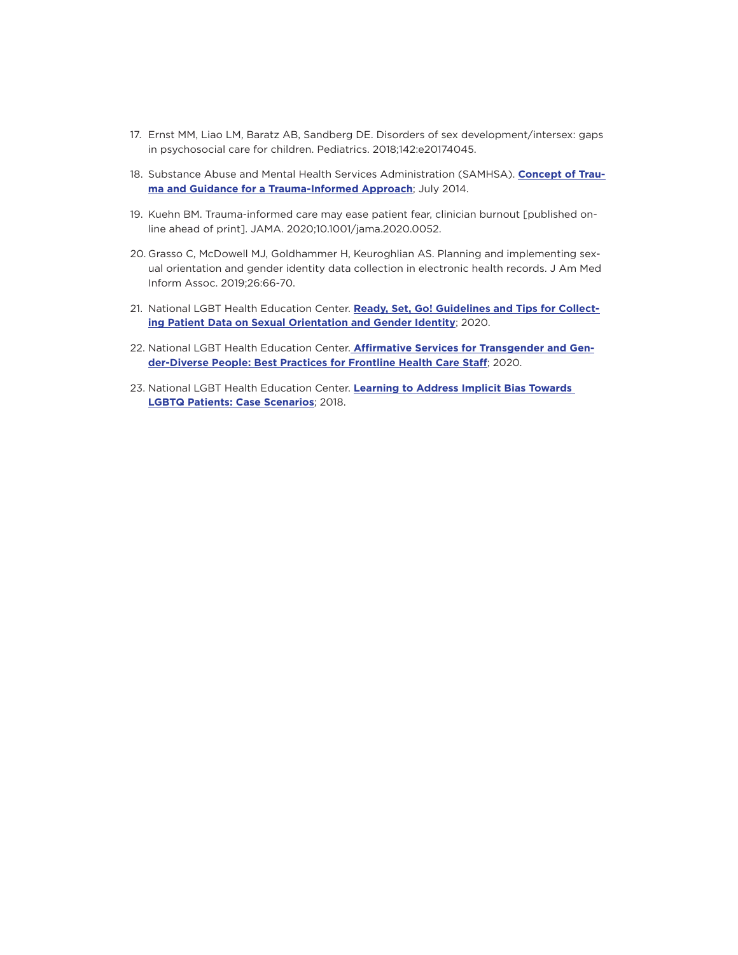- 17. Ernst MM, Liao LM, Baratz AB, Sandberg DE. Disorders of sex development/intersex: gaps in psychosocial care for children. Pediatrics. 2018;142:e20174045.
- 18. Substance Abuse and Mental Health Services Administration (SAMHSA). **[Concept of Trau](https://ncsacw.samhsa.gov/userfiles/files/SAMHSA_Trauma.pdf)[ma and Guidance for a Trauma-Informed Approach](https://ncsacw.samhsa.gov/userfiles/files/SAMHSA_Trauma.pdf)**; July 2014.
- 19. Kuehn BM. Trauma-informed care may ease patient fear, clinician burnout [published online ahead of print]. JAMA. 2020;10.1001/jama.2020.0052.
- 20. Grasso C, McDowell MJ, Goldhammer H, Keuroghlian AS. Planning and implementing sexual orientation and gender identity data collection in electronic health records. J Am Med Inform Assoc. 2019;26:66-70.
- 21. National LGBT Health Education Center. **[Ready, Set, Go! Guidelines and Tips for Collect](https://www.lgbthealtheducation.org/publication/ready-set-go-guidelines-tips-collecting-patient-data-sexual-orientation-gender-identity/)[ing Patient Data on Sexual Orientation and Gender Identity](https://www.lgbthealtheducation.org/publication/ready-set-go-guidelines-tips-collecting-patient-data-sexual-orientation-gender-identity/)**; 2020.
- 22. National LGBT Health Education Center. **[Affirmative Services for Transgender and Gen](https://www.lgbthealtheducation.org/publication/affirmative-services-for-transgender-and-gender-diverse-people-best-practices-for-frontline-health-care-staff/)[der-Diverse People: Best Practices for Frontline Health Care Staff](https://www.lgbthealtheducation.org/publication/affirmative-services-for-transgender-and-gender-diverse-people-best-practices-for-frontline-health-care-staff/)**; 2020.
- 23. National LGBT Health Education Center. **[Learning to Address Implicit Bias Towards](https://www.lgbthealtheducation.org/publication/learning-to-address-implicit-bias-towards-lgbtq-patients-case-scenarios/)  [LGBTQ Patients: Case Scenarios](https://www.lgbthealtheducation.org/publication/learning-to-address-implicit-bias-towards-lgbtq-patients-case-scenarios/)**; 2018.